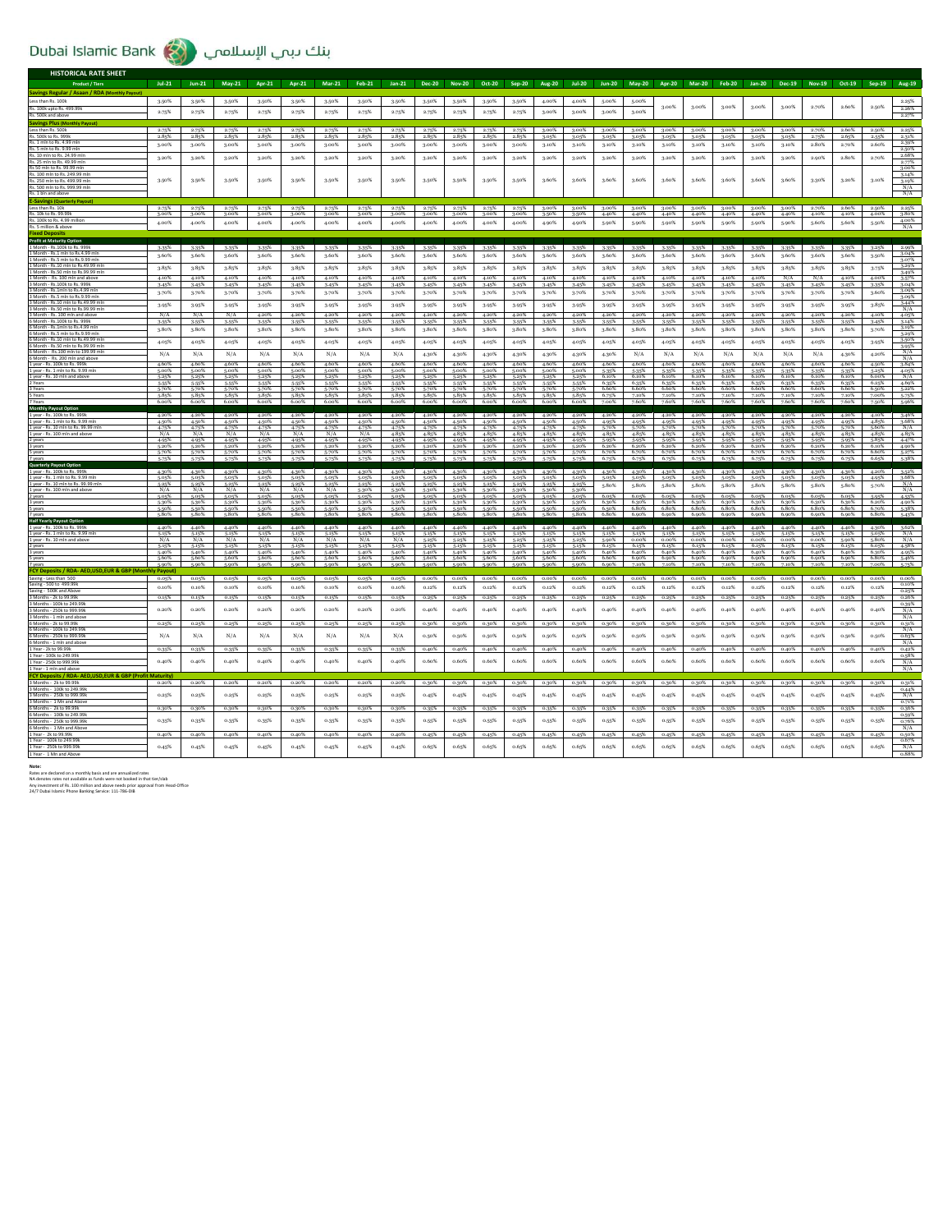## Dubai Islamic Bank (2) بنك دبمي الإسلامي

|                                                                                  | $\sim$         |                |                |                |                |                |                |                |                |                            |                      |                |                |                |                      |                             |                |                               |                |                |                   |                             |                |                |                      |
|----------------------------------------------------------------------------------|----------------|----------------|----------------|----------------|----------------|----------------|----------------|----------------|----------------|----------------------------|----------------------|----------------|----------------|----------------|----------------------|-----------------------------|----------------|-------------------------------|----------------|----------------|-------------------|-----------------------------|----------------|----------------|----------------------|
| <b>HISTORICAL RATE SHEET</b>                                                     |                |                |                |                |                |                |                |                |                |                            |                      |                |                |                |                      |                             |                |                               |                |                |                   |                             |                |                |                      |
| <b>Product / Tiers</b>                                                           | $10-21$        | $lun-21$       | $May-21$       | Anr-21         | <b>Anr-21</b>  | $Mar-21$       | Feb-21         | $lan-21$       | Dec-20         | <b>Nov-20</b>              | $0ct-20$             | Sep-20         | <b>Aug-20</b>  | $tul-20$       | $1un-20$             | May-20 Apr-20 Mar-20 Feb-20 |                |                               |                |                |                   | Jan-20 Dec-19 Nov-19 Oct-19 |                | $Sep-19$       | <b>Aug-19</b>        |
| Savings Regular / Asaan / RDA (Monthly Payout<br>Less than Rs. 100k              | $3.50\%$       | 3.50%          | 3-50%          | 3.50%          | 3.50%          | 3.50%          | 3.50%          | 3.50%          | 3.50%          | 3.50%                      | 3.50%                | 3.50%          | 4.00%          | 4.00%          | 5.00%                | 5.00%                       |                |                               |                |                |                   |                             |                |                | 2.25%                |
| Rs. 100k upto Rs. 499.99k                                                        | 2.75%          | 2.75%          | 2.75%          | 2.75%          | 2.75%          | 2.75%          | 2.75%          | 2.75%          | 2.75%          | 2.75%                      | 2.75%                | 2.75%          | 3.00%          | 3.00%          | 3.00%                | 3.00%                       | 3.00%          | 3.00%                         | 3.00%          | 3.00%          | 3.00%             | 2.70%                       | 2.60%          | 2.50%          | 2.26%                |
| Rs. 500k and ab<br><b>Savings Plus (Monthly Payout)</b>                          |                |                |                |                |                |                |                |                |                |                            |                      |                |                |                |                      |                             |                |                               |                |                |                   |                             |                |                | 2.27%                |
| Less than Rs. 500k                                                               | 2.75%          | 2.75%          | 2.75%          | 2.75%          | 2.75%          | 2.75%          | 2.75%          | 2.75%          | 2.75%          | 2.75%                      | 2.75%                | 2.75%          | 3.00%          | 3.00%          | 3.00%                | 3.00%                       | 3.00%          | 3.00%                         | 3.00%          | 3.00%          | 3.00%             | 2.70%                       | 2.60%          | 2.50%          | 2.25%                |
| Rs. 500k to Rs. 999k<br>Rs. 1 mln to Rs. 4.99 mln                                | 2.85%          | 2.85%          | 2.85%          | 2.85%          | 2.85%          | 2.85%          | 2.85%          | 2.85%          | 2.85%          | 2.85%                      | 2.85%                | 2.85%          | 3.05%          | 3.05%          | 3.05%                | 3.05%                       | 3.05%          | 3.05%                         | 3.05%          | 3.05%          | 3.05%             | 2.75%<br>2.80%              | 2.65%          | 2.55%<br>2.60% | 2.31%<br>2.39%       |
| Rs. 5 mln to Rs. 9.99 mln                                                        | 3.00%          | 3.00%          | 3.00%          | 3.00%          | 3.00%          | 3.00%          | 3.00%          | 3.00%          | 3.00%          | 3.00%                      | 3.00%                | 3.00%          | 3.10%          | 3.10%          | 3.10%                | 3.10%                       | 3.10%          | 3.10%                         | 3.10%          | 3.10%          | 3.10%             |                             | 2.70%          |                | 2.50%<br>2.68%       |
| Rs. 10 mln to Rs. 24.99 mln<br>Rs. 25 mln to Rs. 49.99 mln                       | 3.20%          | 3.20%          | 3.20%          | 3.20%          | 3.20%          | 3.20%          | 3.20%          | 3.20%          | 3.20%          | 3.20%                      | 3.20%                | 3.20%          | 3.20%          | 3.20%          | 3.20%                | 3.20%                       | 3.20%          | 3.20%                         | 3.20%          | 3.20%          | 3.20%             | 2.90%                       | 2.80%          | 2.70%          | 2.77%                |
| Rs 50 mln to Rs. 99.99 mln<br>Rs. 100 mln to Rs. 249.99 mln                      |                |                |                |                |                |                |                |                |                |                            |                      |                |                |                |                      |                             |                |                               |                |                |                   |                             |                |                | 3.00%<br>3.14%       |
| Rs. 250 mln to Rs. 499.99 mln                                                    | 3.50%          | 3.50%          | 3-50%          | 3.50%          | 3.50%          | 3.50%          | 3.50%          | 3.50%          | 3.50%          | 3.50%                      | 3.50%                | 3.50%          | 3.60%          | 3.60%          | 3.60%                | 3.60%                       | 3.60%          | 3.60%                         | 3.60%          | 3.60%          | 3.60%             | 3.30%                       | 3.20%          | 3.10%          | 3.19%                |
| Rs. 500 mln to Rs. 999.99 mln<br>Rs. 1 bln and ab                                |                |                |                |                |                |                |                |                |                |                            |                      |                |                |                |                      |                             |                |                               |                |                |                   |                             |                |                | N/A<br>N/A           |
| <b>E-Savings (Quarterly Payout</b>                                               |                |                |                |                |                |                |                |                |                |                            |                      |                |                |                |                      |                             |                |                               |                |                |                   |                             |                |                |                      |
| Less than Rs. 10k<br>Rs. 10k to Rs. 99.99k                                       | 2.75%<br>3.00% | 2.75%<br>3.00% | 2.75%<br>3.00% | 2.75%<br>3.00% | 2.75%<br>3.00% | 2.75%<br>3.00% | 2.75%<br>3.00% | 2.75%<br>3.00% | 2.75%<br>3.00% | 2.75%                      | 2.75%<br>3.00% 3.00% | 2.75%<br>3.00% | 3.00%<br>3.50% | 3.00%          | 3.00%<br>3.50% 4.40% | 3.00%<br>4.40%              | 3.00%          | $3.00\%$<br>4.40% 4.40% 4.40% | 3.00%          | 3.00%<br>4.40% | 3.00%             | 2.70%<br>4.40% 4.10% 4.10%  | 2.60%          | 2.50%<br>4.00% | 2.25%<br>3.80%       |
| Rs. 100k to Rs. 4.99 million                                                     | 4.00%          | 4.00%          | 4.00%          | 4.00%          | 4.00%          | 4.00%          | 4.00%          | 4.00%          | 4.00%          | 4.00%                      | 4.00%                | 4.00%          | 4.90%          | 4.90%          | 5,90%                | 5,90%                       | 5.90%          | 5,90%                         | 5,90%          | 5,90%          | 5,90%             | 5.60%                       | 5,60%          | 5,50%          | 4.00%                |
| Rs. 5 million & above                                                            |                |                |                |                |                |                |                |                |                |                            |                      |                |                |                |                      |                             |                |                               |                |                |                   |                             |                |                |                      |
| <b>Profit at Maturity Option</b>                                                 |                |                |                |                |                |                |                |                |                |                            |                      |                |                |                |                      |                             |                |                               |                |                |                   |                             |                |                |                      |
| 1 Month - Rs.100k to Rs. 999k<br>1 Month - Rs.1 mln to Rs.4.99 mln               | 3.35%<br>3.60% | 3-35%<br>3.60% | 3-35%<br>3.60% | 3.35%<br>3.60% | 3.35%<br>3.60% | 3-35%<br>3.60% | 3-35%<br>3.60% | 3.35%<br>3.60% | 3.35%<br>3.60% | 3-35%<br>3.60%             | 3.35%<br>3.60%       | 3.35%<br>3.60% | 3.35%<br>3.60% | 3.35%<br>3.60% | 3-35%<br>3.60%       | 3-35%<br>3.60%              | 3.35%<br>3.60% | 3.35%<br>3.60%                | 3-35%<br>3.60% | 3.35%<br>3.60% | 3-35%<br>3.60%    | 3.35%<br>3.60%              | 3.35%<br>3.60% | 3.25%<br>3.50% | 2.99%<br>3.04%       |
| 1 Month - Rs.5 mln to Rs.9.99 mln<br>1 Month - Rs 10 mln to Rs 49 99 mln         |                |                |                |                |                |                |                |                |                |                            |                      |                |                |                |                      |                             |                |                               |                |                |                   |                             |                |                | 3.07%<br>3.29%       |
| 1 Month - Rs.50 mln to Rs.99.99 mln                                              | 3.85%          | 3.85%          | 3.85%          | 3.85%          | 3.85%          | 3.85%          | 3.85%          | 3.85%          | 3.85%          | 3.85%                      | 3.85%                | 3.85%          | 3.85%          | 3.85%          | 3.85%                | 3.85%                       | 3.85%          | 3.85%                         | 3.85%          | 3.85%          | 3.85%             | $3.85\%$                    | 3.85%          | 3-75%          | 3.49%                |
| 1 Month - Rs. 100 mln and above<br>3 Month - Rs.100k to Rs. 999k                 | 4.10%<br>3.45% | 4.10%<br>3.45% | 4.10%<br>3.45% | 4.10%<br>3.45% | 4.10%<br>3.45% | 4.10%<br>3.45% | 4.10%<br>3.45% | 4.10%<br>3.45% | 4.10%          | 4.10%<br>3.45%             | 4.10%                | 4.10%<br>3.45% | 4.10%          | 4.10%<br>3.45% | 4.10%                | 4.10%<br>3.45%              | 4.10%          | 4.10%<br>3.45%                | 4.10%<br>3.45% | 4.10%<br>3.45% | N/A               | N/A<br>3.45%                | 4.10%<br>3.45% | 4.00%<br>3-35% | 3.57%<br>3.04%       |
| 3 Month - Rs.1mln to Rs.4.99 mln<br>3 Month - Rs.5 mln to Rs.9.99 mln            | 3.70%          | 3.70%          | 3.70%          | 3.70%          | 3.70%          | 3.70%          | 3.70%          | 3.70%          | 3.70%          | 3.70%                      | 3.70%                | 3.70%          | 3.70%          | 3.70%          | 3.70%                | 3.70%                       | 3.70%          | 3.70%                         | 3.70%          | 3.70%          | 3.70%             | 3.70%                       | 3.70%          | 3.60%          | 3.09%<br>3.09%       |
| 3 Month - Rs.10 mln to Rs.49.99 mln                                              | 3.95%          | 3-95%          | 3.95%          | 3.95%          | 3.95%          | 3-95%          | 3.95%          | 3.95%          | 3.95%          | 3-95%                      | 3.95%                | 3.95%          | 3.95%          | 3.95%          | 3-95%                | 3.95%                       | 3.95%          | 3.95%                         | 3-95%          | 3.95%          | 3.95%             | 3.95%                       | 3.95%          | 3-85%          | $\frac{344\%}{N/A}$  |
| 3 Month - Rs.50 mln to Rs.99.99 mln<br>3 Month - Rs. 100 mln                     | N/A            | N/A            | N/A            | 4.20%          | 4.20%          | 4.20%          | 4.20%          | 4.20%          | 4.20%          | 4.20%                      | 4.20%                | 4.20%          | 4.20%          | 4.20%          | 4.20%                | 4.20%                       | 4.20%          | 4.20%                         | 4.20%          | 4.20%          | 4.20%             | 4.20%                       | 4.20%          | 4.10%          | 4.05%                |
| 6 Month - Rs.100k to Rs. 999k<br>6 Month - Rs.1mln to Rs.4.99 mln                | 3.55%          | 3.55%          | 3.55%          | 3.55%          | 3.55%          | 3-55%          | 3.55%          | 3.55%          | 3.55%          | 3-55%                      | 3.55%                | 3.55%          | 3-55%          | 3.55%          | 3.55%                | 3.55%                       | 3.55%          | 3-55%                         | 3.55%          | 3.55%          | 3.55%             | 3.55%                       | 3.55%          | 3-45%          | 3.14%<br>3.19%       |
| 6 Month - Rs.5 mln to Rs.9.99 mln                                                | 3.80%          | 3.80%          | 3.80%          | 3.80%          | 3.80%          | 3.80%          | 3.80%          | 3.80%          | 3.80%          | 3.80%                      | 3.80%                | 3.80%          | 3.80%          | 3.80%          | 3.80%                | 3.80%                       | 3.80%          | 3.80%                         | 3.80%          | 3.80%          | 3.80%             | 3.80%                       | 3.80%          | 3.70%          | 3.29%                |
| 6 Month - Rs.10 mln to Rs.49.99 mln<br>6 Month - Rs.50 mln to Rs.99.99 mln       | 4.05%          | 4.05%          | 4.05%          | 4.05%          | 4.05%          | 4.05%          | 4.05%          | 4.05%          | 4.05%          | 4.05%                      | 4.05%                | 4.05%          | 4.05%          | 4.05%          | 4.05%                | 4.05%                       | 4.05%          | 4.05%                         | 4.05%          | 4.05%          | 4.05%             | 4.05%                       | 4.05%          | 3.95%          | 3.50%<br>3.95%       |
| 6 Month - Rs.100 mln to 199.99 mln<br>6 Month - Rs. 200 mln and above            | N/A            | N/A            | N/A            | N/A            | N/A            | N/A            | N/A            | N/A            | 4.30%          | 4.30%                      | 4.30%                | 4.30%          | 4.30%          | 4.30%          | 4.30%                | N/A                         | N/A            | N/A                           | N/A            | N/A            | N/A               | N/A                         | 4.30%          | 4.20%          | $\frac{N/A}{N/A}$    |
| 1 year - Rs. 100k to Rs. 999                                                     | 4.60%          | 4.60%          | 4.60%          | 4.60%          | 4.60%          | 4.60%          | 4.60%          | 4.60%          | 4.60%          | 4.60%                      | 4.60%                | 4.60%          | 4.60%          | 4.60%          | 4.60%                | 4.60%                       | 4.60%          | 4.60%                         | 4.60%          | 4.60%          | 4.60%             | 4.60%                       | 4.60%          | 4.50%          | 3.84%                |
| 1 year - Rs. 1 mln to Rs. 9.99 mln<br>1 year - Rs. 10 mln and above              | 5.00%<br>5.25% | 5.00%<br>5.25% | 5.00%<br>5.25% | 5.00%<br>5.25% | 5.00%<br>5.25% | 5.00%<br>5.25% | 5.00%<br>5.25% | 5.00%<br>5.25% | 5.00%<br>5.25% | 5.00%<br>5.25%             | 5.00%<br>5.25%       | 5.00%<br>5.25% | 5.00%<br>5.25% | 5.00%<br>5.25% | 5-35%<br>6.10%       | 5-35%<br>6.10%              | 5.35%<br>6.10% | 5-35%<br>6.10%                | 5-35%<br>6.10% | 5-35%<br>6.10% | 5-35%<br>6.10%    | 5-35%<br>6.10%              | 5-35%<br>6.10% | 5-25%<br>6.00% | 4.05%<br>N/A         |
| 2 Years<br>3 Years                                                               | 5-55%<br>5.70% | 5-55%<br>5.70% | 5-55%<br>5.70% | 5.55%<br>5.70% | 5-55%<br>5.70% | 5-55%<br>5.70% | 5.55%<br>5.70% | 5-55%<br>5.70% | 5-55%<br>5.70% | 5-55%<br>5.70%             | 5-55%<br>5.70%       | 5.55%<br>5.70% | 5-55%<br>5.70% | 5-55%<br>5.70% | 6.35%<br>6.60%       | 6.35%<br>6.60%              | 6.35%<br>6.60% | 6.35%<br>6.60%                | 6.35%<br>6.60% | 6.35%<br>6.60% | 6.35%<br>6.60%    | 6.35%<br>6.60%              | 6.35%<br>6.60% | 6.25%<br>6.50% | 4.69%<br>5.22%       |
| S Years                                                                          | 5,85%          | 5.85%          | 5.85%          | 5,85%          | 5.85%          | 5,85%          | 5,85%          | 5.85%          | 5.85%          | 5.85%                      | 5.85%                | 5,85%          | 5,85%          | 5.85%          | 6.75%                | 7.10%                       | 7.10%          | 7.10%                         | 7.10%          | 7.10%          | 7.10%             | 7.10%                       | 7.10%          | 7.00%          | 5.75%                |
| 7 Years<br><b>Monthly Payout Option</b>                                          | 6,00%          | 6.00%          | 6.00%          | 6.00%          | 6.00%          | 6.00%          | 6.00%          | 6.00%          | 6.00%          | 6.00%                      | 6.00%                | 6.00%          | 6.00%          | 6.00%          | 7.00%                | 7.60%                       | 7.60%          | 7.60%                         | 7.60%          | 7.60%          | 7.60%             | 7.60%                       | 7.60%          | 7.50%          | 5.96%                |
| 1 year - Rs. 100k to Rs. 9                                                       | 4.20%          | 4.20%          | 4.20%          | 4.20%          | 4.20%          | 4.20%          | 4.20%          | 4.20%          | 4.20%          | 4.20%                      | 4.20%                | 4.20%          | 4.20%          | $4.20\%$       | 4.20%                | 4.20%                       | 4.20%          | 4.20%                         | 4.20%          | 4.20%          | 4.20%             | 4.20%                       | 4.20%          | 4.10%          | 3.46%                |
| 1 year - Rs. 1 mln to Rs. 9.99 mln<br>1 year - Rs. 10 mln to Rs. 99.99 mln       | 4.50%<br>4.75% | 4.50%<br>4.75% | 4.50%<br>4.75% | 4.50%<br>4.75% | 4.50%<br>4.75% | 4.50%<br>4.75% | 4.50%<br>4.75% | 4.50%<br>4.75% | 4.50%<br>4.75% | 4.50%<br>4.75%             | 4.50%<br>4.75%       | 4.50%<br>4.75% | 4.50%<br>4.75% | 4.50%<br>4.75% | 4.95%<br>5.70%       | 4.95%<br>5.70%              | 4.95%<br>5.70% | 4.95%<br>5.70%                | 4.95%<br>5.70% | 4.95%<br>5.70% | 4.95%<br>5.70%    | 4.95%<br>5.70%              | 4.95%<br>5.70% | 4.85%<br>5.60% | 3.68%<br>N/A         |
| 1 year - Rs. 100 mln and above<br>2 years                                        | N/A<br>4.95%   | N/A<br>4.95%   | N/A<br>4.95%   | N/A<br>4.95%   | N/A<br>4.95%   | N/A<br>4.95%   | N/A<br>4.95%   | 4.85%<br>4.95% | 4.85%<br>4.95% | 4.85%<br>4.95%             | 4.85%<br>4.95%       | 4.85%<br>4.95% | 4.85%<br>4.95% | 4.85%<br>4.95% | 4.85%<br>5-95%       | 4.85%<br>5.95%              | 4.85%<br>5.95% | 4.85%<br>5.95%                | 4.85%<br>5-95% | 4.85%<br>5.95% | 4.85%<br>5.95%    | 4.85%<br>5.95%              | 4.85%<br>5.95% | 4.85%<br>5.85% | 4.85%<br>4.47%       |
| 3 years                                                                          | 5.20%          | 5.20%          | 5.20%          | 5.20%          | 5.20%          | 5.20%          | 5.20%          | 5.20%          | 5.20%          | 5.20% 5.20%                |                      | 5.20%          | 5.20%          |                | 5.20% 6.20%          | 6.20%                       | 6.20%          | 6.20% 6.20%                   |                | 6.20%          |                   | 6.20% 6.20% 6.20%           |                | 6.10%          | 4.90%                |
| 5 years                                                                          | 5.70%<br>5.75% | 5.70%<br>5.75% | 5.70%<br>5.75% | 5.70%<br>5.75% | 5.70%<br>5.75% | 5.70%<br>5,75% | 5.70%<br>5.75% | 5-70%<br>5.75% | 5.70%<br>5.75% | 5.70%<br>5.75%             | 5.70%<br>5.75%       | 5.70%<br>5.75% | 5.70%<br>5.75% | 5.70%<br>5.75% | 6.70%<br>6.75%       | 6.70%<br>6.75%              | 6.70%<br>6.75% | 6.70%<br>6,75%                | 6.70%<br>6.75% | 6.70%<br>6.75% | 6.70%<br>6.75%    | 6.70%<br>6.75%              | 6.70%<br>6.75% | 6.60%<br>6.65% | 5.27%<br>5.38%       |
| Quarterly Payout Option                                                          | 4.30%          | 4.30%          | 4.30%          | 4.30%          | 4.30%          | 4.30%          | 4.30%          | 4.30%          | 4.30%          | 4.30%                      | 4.30%                | 4.30%          | 4.30%          | 4.30%          | 4.30%                | 4.30%                       | 4.30%          | 4.30%                         | 4.30%          | 4.30%          | 4.30%             | 4.30%                       | 4.30%          | 4.20%          | 3.52%                |
| 1 year - Rs. 100k to Rs. 999<br>1 year - Rs. 1 mln to Rs. 9.99 mln               | 5-05%          | 5.05%          | 5.05%          | 5.05%          | 5.05%          | 5.05%          | 5.05%          | 5.05%          | 5.05%          | 5.05%                      | 5.05%                | 5.05%          | 5.05%          | 5.05%          | 5.05%                | 5-05%                       | 5.05%          | 5.05%                         | 5.05%          | 5.05%          | 5.05%             | 5.05%                       | 5.05%          | 4.95%          | 3.68%                |
| 1 year - Rs. 10 mln to Rs. 99.99 mln<br>1 year - Rs. 100 mln and above           | 5.25%<br>N/A   | 5.25%<br>N/A   | 5.25%<br>N/A   | 5.25%<br>N/A   | 5.25%<br>N/A   | 5.25%<br>N/A   | 5.25%<br>5.30% | 5.25%<br>5-30% | 5.25%<br>5.30% | 5.30%                      | 5.25% 5.25%<br>5.30% | 5.25%<br>5.30% | 5.25%<br>5.30% | 5.25%<br>5-30% | 5,80%                | 5,80%                       | 5,80%          | 5,80%                         | 5.80%          | 5,80%          | 5,80%             | 5.80%                       | 5,80%          | 5.70%          | N/A<br>N/A           |
|                                                                                  | 5.05%<br>5,30% | 5.05%<br>5,30% | 5.05%<br>5.30% | 5.05%<br>5.30% | 5.05%<br>5,30% | 5.05%<br>5.30% | 5.05%<br>5.30% | 5.05%<br>5,30% | 5.05%<br>5,30% | 5.05% 5.05%<br>5.30% 5.30% |                      | 5.05%<br>5.30% | 5.05%<br>5,30% | 5.05%<br>5,30% | 6.05%<br>6.30%       | 6.05%<br>6.30%              | 6.05%<br>6.30% | 6.05%<br>6.30%                | 6.05%<br>6.30% | 6.05%<br>6.30% | 6.05%<br>6.30%    | 6.05%<br>6.30% 6.30%        | 6.05%          | 5-95%<br>6.20% | 4.53%<br>4.90%       |
| 3 years<br>5 years                                                               | 5.50%          | 5.50%          | 5.50%          | 5.50%          | 5.50%          | 5.50%          | 5.50%          | 5.50%          | 5.50%          | 5.50% 5.50%                |                      | 5.50%          | 5.50%          | 5.50%          | 6.50%                | 6.80%                       | 6.80%          | 6.80%                         | 6.80%          | 6.80%          | 6.80%             | 6.80%                       | 6.80%          | 6.70%          | 5.38%                |
| <b>Half Yearly Payout Option</b>                                                 | 5.80%          | 5.80%          | 5.80%          | $$80\%$        | 5.80%          | 5.80%          | 5.80%          | 5.80%          | 5.80%          | $$80\%$ $$80\%$            |                      | $$80\%$        | $$80\%$        | 5.80% 6.80%    |                      | 6.00%                       | 6.00%          | 6.90%                         | 6.90%          | 6.90%          | 6.00%             | 6.00%                       | 6.90%          | 6.80%          | 5-43%                |
| 1 year - Rs. 100k to Rs. 999<br>1 year - Rs. 1 mln to Rs. 9.99 mln               | 4.40%          | 4.40%          | 4.40%          | 4.40%          | 4.40%          | 4.40%          | 4.40%          | 4.40%          | 4.40%<br>5.15% | 4.40%<br>5.15%             | 4.40%<br>5.15%       | 4.40%<br>5.15% | 4.40%<br>5-15% | 4.40%<br>5.15% | 4.40%<br>5.15%       | 4.40%<br>5.15%              | 4.40%<br>5.15% | 4.40%<br>5.15%                | 4.40%<br>5.15% | 4.40%<br>5.15% | 4.40%             | 4.40%<br>5.15%              | 4.40%<br>5.15% | 4.30%          | 3.62%                |
| 1 year - Rs. 10 mln and above                                                    | 5.15%<br>N/A   | 5.15%<br>N/A   | 5.15%<br>N/A   | 5.15%<br>N/A   | 5.15%<br>N/A   | 5.15%<br>N/A   | 5.15%<br>N/A   | 5-15%<br>N/A   | 5.25%          | 5-25%                      | 5.25%                | 5.25%          | 5.25%          | 5.25%          | 5,90%                | 0.00%                       | $0.00\%$       | $0.00\%$                      | $0.00\%$       | 0.00%          | 5.15%<br>$0.00\%$ | $0.00\%$                    | 5,90%          | 5.05%<br>5.80% | N/A<br>N/A           |
| 2 years<br>3 years                                                               | 5-15%<br>5.40% | 5.15%<br>5.40% | 5.15%<br>5.40% | 5.15%<br>5.40% | 5.15%<br>5.40% | 5.15%<br>5.40% | 5.15%<br>5.40% | 5.15%<br>5.40% | 5.15%<br>5.40% | 5.15% 5.15%<br>5.40% 5.40% |                      | 5.15%<br>5.40% | 5-15%<br>5.40% | 5.15%<br>5.40% | 6.15%<br>6.40%       | 6.15%<br>6.40%              | 6.15%<br>6.40% | 6.15%<br>6.40%                | 6.15%<br>6.40% | 6.15%<br>6.40% | 6.15%<br>6.40%    | 6.15% 6.15%<br>6.40%        | 6.40%          | 6.05%<br>6.30% | 4.58%<br>4.95%       |
| S years                                                                          | 5.60%<br>5.909 | 5.60%          | 5.60%<br>5.90  | 5.60%<br>5.90% | 5,60%<br>5.90  | 5.60%<br>5.909 | 5,60%<br>5.90% | 5.60%          | 5.60%<br>5.90  | 5,60%                      | 5.60%<br>5.909       | 5.60%          | 5.60%<br>5.90  | 5.60%          | 6.60%                | 6.90%                       | 6.90%          | 6,90%                         | 6,90%          | 6.90%          | 6.90%             | 6.90%                       | 6.90%          | 6.80%          | 5.46%<br>5.75%       |
| FCY Deposits / RDA- AED,USD,EUR & GBP (Monthly Payout                            |                |                |                |                |                |                |                |                |                |                            |                      |                |                |                |                      |                             |                |                               |                |                |                   |                             |                |                |                      |
| Saving - Less than 500<br>Saving - 500 to 499.99k                                | 0.05%          | 0.05%          | 0.05%          | 0.05%          | 0.05%          | 0.05%          | 0.05%          | 0.05%          | 0.00%          | 0.00%                      | 0.00%                | 0.00%          | 0.00%          | 0.00%          | 0.00%                | 0.00%                       | 0.00%          | 0.00%                         | 0.00%          | 0.00%          | 0.00%             | 0.00%                       | 0.00%          | 0.00%          | 0.00%<br>0.10%       |
| Saving - 500K and Above                                                          | 0.10%          | 0.10%          | 0.10%          | 0.10%          | 0.10%          | 0.10%          | 0.10%          | 0.10%          | 0.12%          | 0.12%                      | 0.12%                | 0.12%          | 0.12%          | 0.12%          | 0.12%                | 0.12%                       | 0.12%          | 0.12%                         | 0.12%          | 0.12%          | 0.12%             | 0.12%                       | 0.12%          | 0.12%          | 0.25%                |
| 3 Months - 2k to 99.99k<br>3 Months - 100k to 249.99k                            | 0.15%          | 0.15%          | 0.15%          | 0.15%          | 0.15%          | 0.15%          | 0.15%          | 0.15%          | 0.25%          | 0.25%                      | 0.25%                | 0.25%          | 0.25%          | 0.25%          | 0.25%                | 0.25%                       | 0.25%          | 0.25%                         | 0.25%          | 0.25%          | 0.25%             | 0.25%                       | 0.25%          | 0.25%          | 0.26%                |
| 3 Months - 250k to 999.99k                                                       | 0.20%          | 0.20%          | 0.20%          | 0.20%          | 0.20%          | 0.20%          | 0.20%          | 0.20%          | 0.40%          | 0.40%                      | 0.40%                | 0.40%          | 0.40%          | 0.40%          | 0.40%                | 0.40%                       | 0.40%          | 0.40%                         | 0.40%          | 0.40%          | 0.40%             | 0.40%                       | 0.40%          | 0.40%          | $\frac{0.39\%}{N/A}$ |
| 3 Months - 1 mln and abov<br>6 Months - 2k to 99 99k                             | 0.25%          | 0.25%          | 0.25%          | 0.25%          | 0.25%          | 0.25%          | 0.25%          | 0.25%          | 0.30%          | 0.30%                      | 0.30%                | 0.30%          | 0.20%          | 0.30%          | 0.30%                | 0.30%                       | 0.20%          | $0.30\%$                      | 0.30%          | 0.30%          | 0.20%             | $0.30\%$                    | 0.30%          | 0.20%          | N/A<br>0.31%         |
| 6 Months - 100k to 249.99k<br>6 Months - 250k to 999.99k                         | N/A            | N/A            | N/A            | N/A            | N/A            | N/A            | N/A            | N/A            | 0.50%          | 0.50%                      | 0.50%                | 0.50%          | 0.50%          | 0.50%          | 0.50%                | 0.50%                       | 0.50%          | 0.50%                         | 0.50%          | 0.50%          | 0.50%             | 0.50%                       | 0.50%          | 0.50%          | N/A<br>0.63%         |
| 6 Months - 1 mln and aboy                                                        |                |                |                |                |                |                |                |                |                |                            |                      |                |                |                |                      |                             |                |                               |                |                |                   |                             |                |                | N/A                  |
| 1 Year - 2k to 99.991<br>1 Year - 100k to 249.99k                                | 0.35%          | 0.35%          | 0.35%          | 0.35%          | 0.35%          | 0.35%          | 0.35%          | 0.35%          | 0.40%          | 0.40%                      | 0.40%                | 0.40%          | 0.40%          | 0.40%          | 0.40%                | 0.40%                       | 0.40%          | 0.40%                         | 0.40%          | 0.40%          | 0.40%             | 0.40%                       | 0.40%          | 0.40%          | 0.42%<br>0.58%       |
| 1 Year - 250k to 999.99k                                                         | 0.40%          | 0.40%          | 0.40%          | 0.40%          | 0.40%          | 0.40%          | 0.40%          | 0.40%          | 0.60%          | 0.60%                      | 0.60%                | 0.60%          | 0.60%          | 0.60%          | 0.60%                | 0.60%                       | 0.60%          | 0.60%                         | 0.60%          | 0.60%          | 0.60%             | 0.60%                       | 0.60%          | 0.60%          | N/A                  |
| 1 Year - 1 mln and ab<br>FCY Deposits / RDA- AED,USD,EUR & GBP (Profit Maturity) |                |                |                |                |                |                |                |                |                |                            |                      |                |                |                |                      |                             |                |                               |                |                |                   |                             |                |                | N/A                  |
| 3 Months - 2k to 99.99k                                                          | 0.20%          | 0.20%          | 0.20%          | 0.20%          | 0.20%          | 0.20%          | 0.20%          | 0.20%          | 0.30%          | 0.30%                      | 0.30%                | 0.30%          | 0.30%          | 0.30%          | 0.30%                | 0.30%                       | 0.30%          | $0.30\%$                      | 0.30%          | 0.30%          | 0.30%             | 0.30%                       | 0.30%          | 0.30%          | 0.31%                |
| Months - 100k to 249.99<br>3 Months - 250k to 999.99k                            | 0.25%          | 0.25%          | 0.25%          | 0.25%          | 0.25%          | 0.25%          | 0.25%          | 0.25%          | 0.45%          | 0.45%                      | 0.45%                | 0.45%          | 0.45%          | 0.45%          | 0.45%                | 0.45%                       | 0.45%          | 0.45%                         | 0.45%          | 0.45%          | 0.45%             | 0.45%                       | 0.45%          | 0.45%          | $\frac{0.44\%}{N/A}$ |
| 3 Months - 1 Mn and Above                                                        |                |                |                |                |                |                |                |                |                |                            |                      |                |                |                |                      |                             |                |                               |                |                |                   |                             |                |                | 0.71%                |
| 6 Months - 2k to 99.99k<br>6 Months - 100k to 249.99k                            | 0.30%          | 0.30%          | 0.30%          | 0,30%          | 0.30%          | 0.30%          | 0,30%          | 0.30%          | 0.35%          | 0.35%                      | 0.35%                | 0.35%          | 0.35%          | 0.35%          | 0.35%                | 0.35%                       | 0.35%          | 0.35%                         | 0.35%          | 0.35%          | 0.35%             | 0.35%                       | 0.35%          | 0.35%          | 0.36%<br>0.59%       |
| 6 Months - 250k to 999.99k<br>6 Months - 1 Mn and Above                          | 0.35%          | 0.35%          | 0.35%          | 0.35%          | 0.35%          | 0.35%          | 0.35%          | 0.35%          | 0.55%          | 0.55%                      | 0.55%                | 0.55%          | 0.55%          | 0.55%          | 0.55%                | 0.55%                       | 0.55%          | 0.55%                         | 0.55%          | 0.55%          | 0.55%             | 0.55%                       | 0.55%          | 0.55%          | 0.76%<br>N/A         |
| 1 Year - 2k to 99.99k                                                            | 0.40%          | 0.40%          | 0.40%          | 0.40%          | 0.40%          | 0.40%          | 0.40%          | 0.40%          | 0.45%          | 0.45%                      | 0.45%                | 0.45%          | 0.45%          | 0.45%          | 0.45%                | 0.45%                       | 0.45%          | 0.45%                         | 0.45%          | 0.45%          | 0.45%             | 0.45%                       | 0.45%          | 0.45%          | 0.50%                |
| 1 Year - 100k to 249.99k<br>1 Year - 250k to 999.99k                             | 0.45%          | 0.45%          | 0.45%          | 0.45%          | 0.45%          | 0.45%          | 0.45%          | 0.45%          | 0.65%          | 0.65%                      | 0.65%                | 0.65%          | 0.65%          | 0.65%          | 0.65%                | 0.65%                       | 0.65%          | 0.65%                         | 0.65%          | 0.65%          | 0.65%             | 0.65%                       | 0.65%          | 0.65%          | 0.67%<br>N/A         |
| 1 Year - 1 Mn and Abov                                                           |                |                |                |                |                |                |                |                |                |                            |                      |                |                |                |                      |                             |                |                               |                |                |                   |                             |                |                | 0.88%                |

**Note:**

Rates are declared on a monthly basis and are annualized rates<br>NA denotes rates not available as funds were not booked in that tier/slab<br>Any investment of Rs. 100 million and above needs prior approval from Head-Office<br>24/